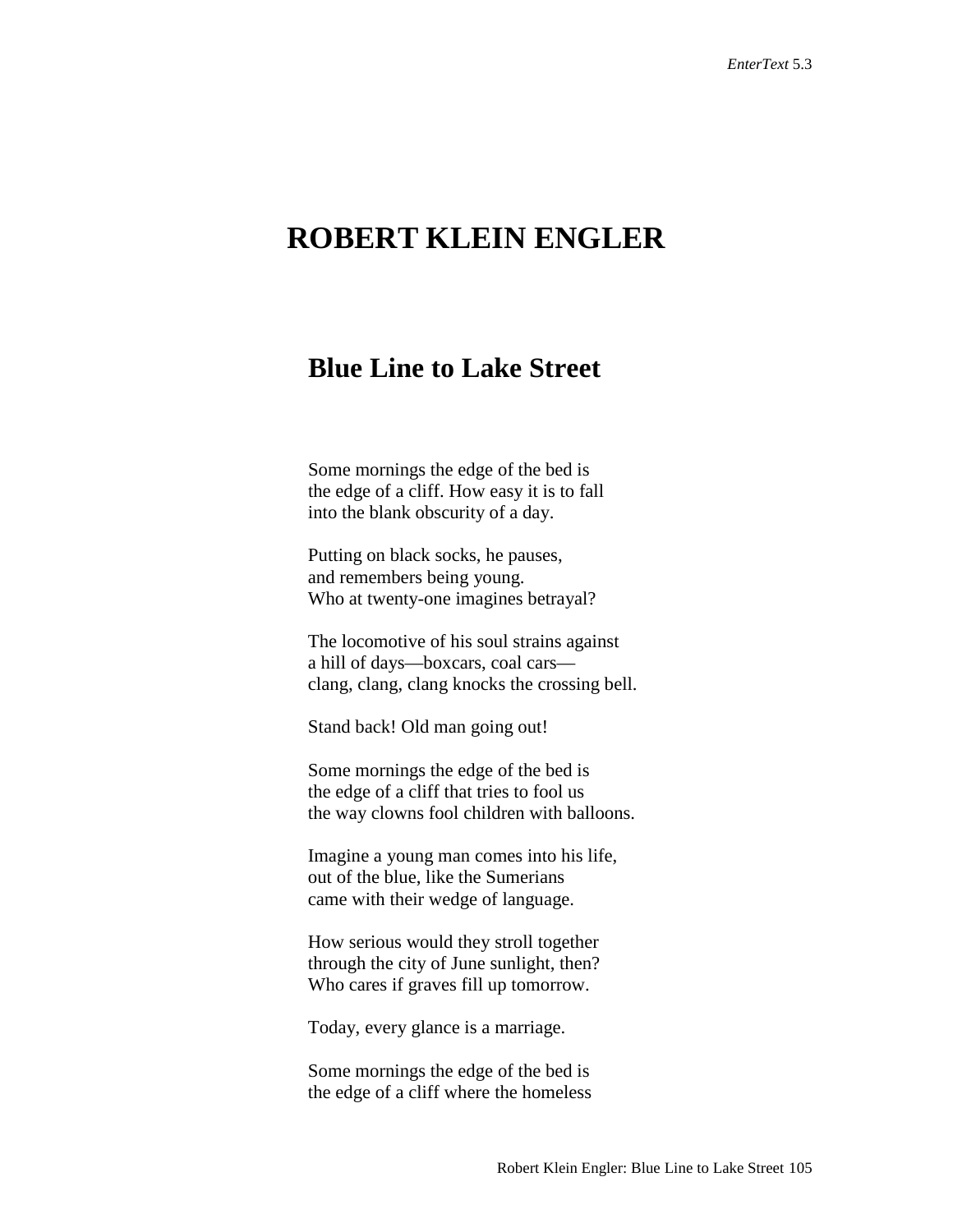## **ROBERT KLEIN ENGLER**

## **Blue Line to Lake Street**

Some mornings the edge of the bed is the edge of a cliff. How easy it is to fall into the blank obscurity of a day.

Putting on black socks, he pauses, and remembers being young. Who at twenty-one imagines betrayal?

The locomotive of his soul strains against a hill of days—boxcars, coal cars clang, clang, clang knocks the crossing bell.

Stand back! Old man going out!

Some mornings the edge of the bed is the edge of a cliff that tries to fool us the way clowns fool children with balloons.

Imagine a young man comes into his life, out of the blue, like the Sumerians came with their wedge of language.

How serious would they stroll together through the city of June sunlight, then? Who cares if graves fill up tomorrow.

Today, every glance is a marriage.

Some mornings the edge of the bed is the edge of a cliff where the homeless